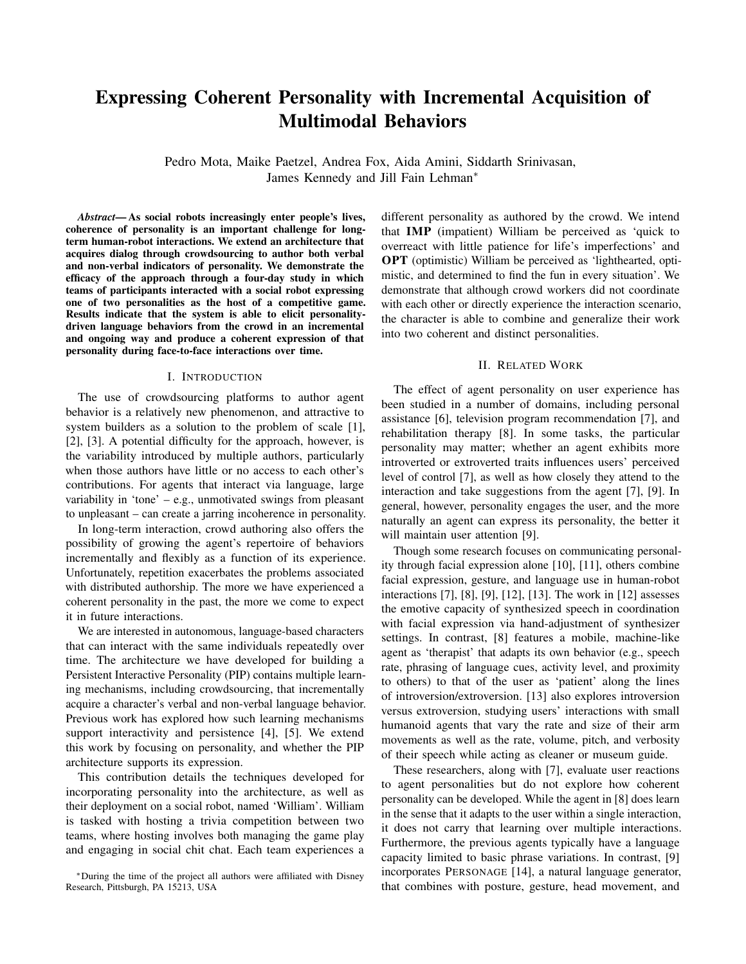# Expressing Coherent Personality with Incremental Acquisition of Multimodal Behaviors

Pedro Mota, Maike Paetzel, Andrea Fox, Aida Amini, Siddarth Srinivasan, James Kennedy and Jill Fain Lehman<sup>∗</sup>

*Abstract*— As social robots increasingly enter people's lives, coherence of personality is an important challenge for longterm human-robot interactions. We extend an architecture that acquires dialog through crowdsourcing to author both verbal and non-verbal indicators of personality. We demonstrate the efficacy of the approach through a four-day study in which teams of participants interacted with a social robot expressing one of two personalities as the host of a competitive game. Results indicate that the system is able to elicit personalitydriven language behaviors from the crowd in an incremental and ongoing way and produce a coherent expression of that personality during face-to-face interactions over time.

#### I. INTRODUCTION

The use of crowdsourcing platforms to author agent behavior is a relatively new phenomenon, and attractive to system builders as a solution to the problem of scale [1], [2], [3]. A potential difficulty for the approach, however, is the variability introduced by multiple authors, particularly when those authors have little or no access to each other's contributions. For agents that interact via language, large variability in 'tone' – e.g., unmotivated swings from pleasant to unpleasant – can create a jarring incoherence in personality.

In long-term interaction, crowd authoring also offers the possibility of growing the agent's repertoire of behaviors incrementally and flexibly as a function of its experience. Unfortunately, repetition exacerbates the problems associated with distributed authorship. The more we have experienced a coherent personality in the past, the more we come to expect it in future interactions.

We are interested in autonomous, language-based characters that can interact with the same individuals repeatedly over time. The architecture we have developed for building a Persistent Interactive Personality (PIP) contains multiple learning mechanisms, including crowdsourcing, that incrementally acquire a character's verbal and non-verbal language behavior. Previous work has explored how such learning mechanisms support interactivity and persistence [4], [5]. We extend this work by focusing on personality, and whether the PIP architecture supports its expression.

This contribution details the techniques developed for incorporating personality into the architecture, as well as their deployment on a social robot, named 'William'. William is tasked with hosting a trivia competition between two teams, where hosting involves both managing the game play and engaging in social chit chat. Each team experiences a

different personality as authored by the crowd. We intend that IMP (impatient) William be perceived as 'quick to overreact with little patience for life's imperfections' and OPT (optimistic) William be perceived as 'lighthearted, optimistic, and determined to find the fun in every situation'. We demonstrate that although crowd workers did not coordinate with each other or directly experience the interaction scenario, the character is able to combine and generalize their work into two coherent and distinct personalities.

#### II. RELATED WORK

The effect of agent personality on user experience has been studied in a number of domains, including personal assistance [6], television program recommendation [7], and rehabilitation therapy [8]. In some tasks, the particular personality may matter; whether an agent exhibits more introverted or extroverted traits influences users' perceived level of control [7], as well as how closely they attend to the interaction and take suggestions from the agent [7], [9]. In general, however, personality engages the user, and the more naturally an agent can express its personality, the better it will maintain user attention [9].

Though some research focuses on communicating personality through facial expression alone [10], [11], others combine facial expression, gesture, and language use in human-robot interactions [7], [8], [9], [12], [13]. The work in [12] assesses the emotive capacity of synthesized speech in coordination with facial expression via hand-adjustment of synthesizer settings. In contrast, [8] features a mobile, machine-like agent as 'therapist' that adapts its own behavior (e.g., speech rate, phrasing of language cues, activity level, and proximity to others) to that of the user as 'patient' along the lines of introversion/extroversion. [13] also explores introversion versus extroversion, studying users' interactions with small humanoid agents that vary the rate and size of their arm movements as well as the rate, volume, pitch, and verbosity of their speech while acting as cleaner or museum guide.

These researchers, along with [7], evaluate user reactions to agent personalities but do not explore how coherent personality can be developed. While the agent in [8] does learn in the sense that it adapts to the user within a single interaction, it does not carry that learning over multiple interactions. Furthermore, the previous agents typically have a language capacity limited to basic phrase variations. In contrast, [9] incorporates PERSONAGE [14], a natural language generator, that combines with posture, gesture, head movement, and

<sup>∗</sup>During the time of the project all authors were affiliated with Disney Research, Pittsburgh, PA 15213, USA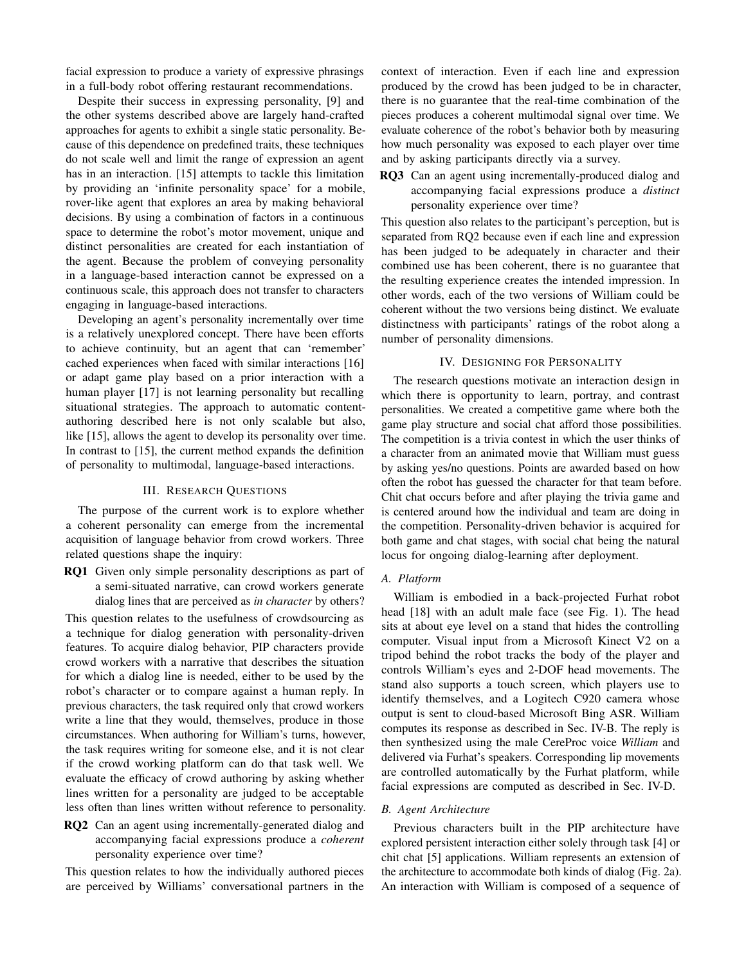facial expression to produce a variety of expressive phrasings in a full-body robot offering restaurant recommendations.

Despite their success in expressing personality, [9] and the other systems described above are largely hand-crafted approaches for agents to exhibit a single static personality. Because of this dependence on predefined traits, these techniques do not scale well and limit the range of expression an agent has in an interaction. [15] attempts to tackle this limitation by providing an 'infinite personality space' for a mobile, rover-like agent that explores an area by making behavioral decisions. By using a combination of factors in a continuous space to determine the robot's motor movement, unique and distinct personalities are created for each instantiation of the agent. Because the problem of conveying personality in a language-based interaction cannot be expressed on a continuous scale, this approach does not transfer to characters engaging in language-based interactions.

Developing an agent's personality incrementally over time is a relatively unexplored concept. There have been efforts to achieve continuity, but an agent that can 'remember' cached experiences when faced with similar interactions [16] or adapt game play based on a prior interaction with a human player [17] is not learning personality but recalling situational strategies. The approach to automatic contentauthoring described here is not only scalable but also, like [15], allows the agent to develop its personality over time. In contrast to [15], the current method expands the definition of personality to multimodal, language-based interactions.

#### III. RESEARCH QUESTIONS

The purpose of the current work is to explore whether a coherent personality can emerge from the incremental acquisition of language behavior from crowd workers. Three related questions shape the inquiry:

**RQ1** Given only simple personality descriptions as part of a semi-situated narrative, can crowd workers generate dialog lines that are perceived as *in character* by others?

This question relates to the usefulness of crowdsourcing as a technique for dialog generation with personality-driven features. To acquire dialog behavior, PIP characters provide crowd workers with a narrative that describes the situation for which a dialog line is needed, either to be used by the robot's character or to compare against a human reply. In previous characters, the task required only that crowd workers write a line that they would, themselves, produce in those circumstances. When authoring for William's turns, however, the task requires writing for someone else, and it is not clear if the crowd working platform can do that task well. We evaluate the efficacy of crowd authoring by asking whether lines written for a personality are judged to be acceptable less often than lines written without reference to personality.

**RO2** Can an agent using incrementally-generated dialog and accompanying facial expressions produce a *coherent* personality experience over time?

This question relates to how the individually authored pieces are perceived by Williams' conversational partners in the

context of interaction. Even if each line and expression produced by the crowd has been judged to be in character, there is no guarantee that the real-time combination of the pieces produces a coherent multimodal signal over time. We evaluate coherence of the robot's behavior both by measuring how much personality was exposed to each player over time and by asking participants directly via a survey.

RQ3 Can an agent using incrementally-produced dialog and accompanying facial expressions produce a *distinct* personality experience over time?

This question also relates to the participant's perception, but is separated from RQ2 because even if each line and expression has been judged to be adequately in character and their combined use has been coherent, there is no guarantee that the resulting experience creates the intended impression. In other words, each of the two versions of William could be coherent without the two versions being distinct. We evaluate distinctness with participants' ratings of the robot along a number of personality dimensions.

#### IV. DESIGNING FOR PERSONALITY

The research questions motivate an interaction design in which there is opportunity to learn, portray, and contrast personalities. We created a competitive game where both the game play structure and social chat afford those possibilities. The competition is a trivia contest in which the user thinks of a character from an animated movie that William must guess by asking yes/no questions. Points are awarded based on how often the robot has guessed the character for that team before. Chit chat occurs before and after playing the trivia game and is centered around how the individual and team are doing in the competition. Personality-driven behavior is acquired for both game and chat stages, with social chat being the natural locus for ongoing dialog-learning after deployment.

## *A. Platform*

William is embodied in a back-projected Furhat robot head [18] with an adult male face (see Fig. 1). The head sits at about eye level on a stand that hides the controlling computer. Visual input from a Microsoft Kinect V2 on a tripod behind the robot tracks the body of the player and controls William's eyes and 2-DOF head movements. The stand also supports a touch screen, which players use to identify themselves, and a Logitech C920 camera whose output is sent to cloud-based Microsoft Bing ASR. William computes its response as described in Sec. IV-B. The reply is then synthesized using the male CereProc voice *William* and delivered via Furhat's speakers. Corresponding lip movements are controlled automatically by the Furhat platform, while facial expressions are computed as described in Sec. IV-D.

#### *B. Agent Architecture*

Previous characters built in the PIP architecture have explored persistent interaction either solely through task [4] or chit chat [5] applications. William represents an extension of the architecture to accommodate both kinds of dialog (Fig. 2a). An interaction with William is composed of a sequence of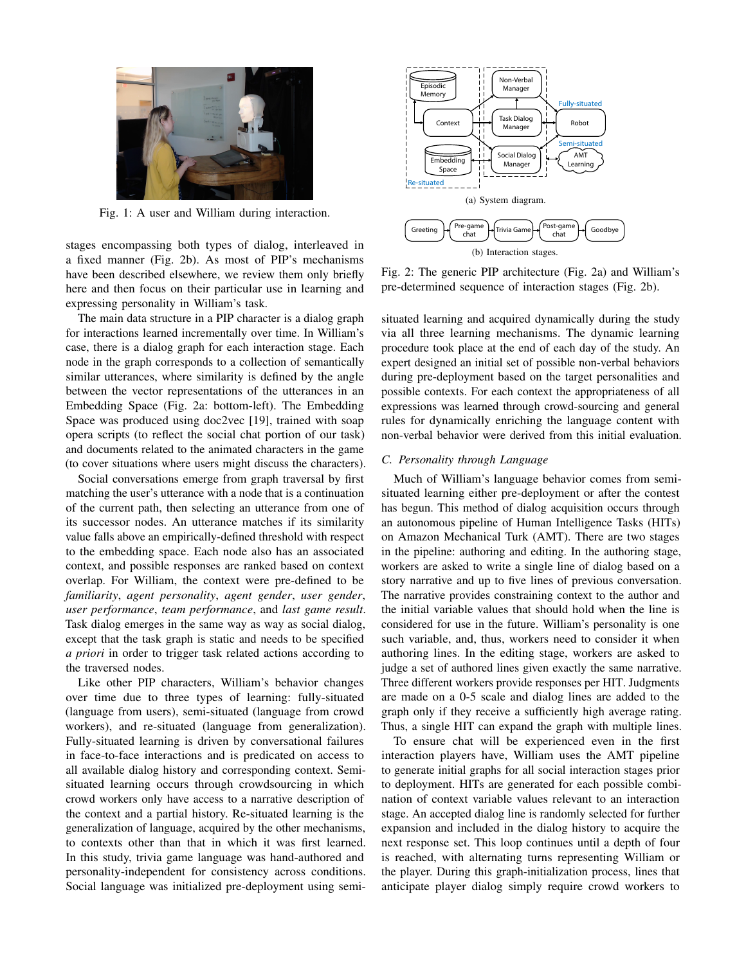

Fig. 1: A user and William during interaction.

stages encompassing both types of dialog, interleaved in a fixed manner (Fig. 2b). As most of PIP's mechanisms have been described elsewhere, we review them only briefly here and then focus on their particular use in learning and expressing personality in William's task.

The main data structure in a PIP character is a dialog graph for interactions learned incrementally over time. In William's case, there is a dialog graph for each interaction stage. Each node in the graph corresponds to a collection of semantically similar utterances, where similarity is defined by the angle between the vector representations of the utterances in an Embedding Space (Fig. 2a: bottom-left). The Embedding Space was produced using doc2vec [19], trained with soap opera scripts (to reflect the social chat portion of our task) and documents related to the animated characters in the game (to cover situations where users might discuss the characters).

Social conversations emerge from graph traversal by first matching the user's utterance with a node that is a continuation of the current path, then selecting an utterance from one of its successor nodes. An utterance matches if its similarity value falls above an empirically-defined threshold with respect to the embedding space. Each node also has an associated context, and possible responses are ranked based on context overlap. For William, the context were pre-defined to be *familiarity*, *agent personality*, *agent gender*, *user gender*, *user performance*, *team performance*, and *last game result*. Task dialog emerges in the same way as way as social dialog, except that the task graph is static and needs to be specified *a priori* in order to trigger task related actions according to the traversed nodes.

Like other PIP characters, William's behavior changes over time due to three types of learning: fully-situated (language from users), semi-situated (language from crowd workers), and re-situated (language from generalization). Fully-situated learning is driven by conversational failures in face-to-face interactions and is predicated on access to all available dialog history and corresponding context. Semisituated learning occurs through crowdsourcing in which crowd workers only have access to a narrative description of the context and a partial history. Re-situated learning is the generalization of language, acquired by the other mechanisms, to contexts other than that in which it was first learned. In this study, trivia game language was hand-authored and personality-independent for consistency across conditions. Social language was initialized pre-deployment using semi-



(b) Interaction stages.

Fig. 2: The generic PIP architecture (Fig. 2a) and William's pre-determined sequence of interaction stages (Fig. 2b).

situated learning and acquired dynamically during the study via all three learning mechanisms. The dynamic learning procedure took place at the end of each day of the study. An expert designed an initial set of possible non-verbal behaviors during pre-deployment based on the target personalities and possible contexts. For each context the appropriateness of all expressions was learned through crowd-sourcing and general rules for dynamically enriching the language content with non-verbal behavior were derived from this initial evaluation.

## *C. Personality through Language*

Much of William's language behavior comes from semisituated learning either pre-deployment or after the contest has begun. This method of dialog acquisition occurs through an autonomous pipeline of Human Intelligence Tasks (HITs) on Amazon Mechanical Turk (AMT). There are two stages in the pipeline: authoring and editing. In the authoring stage, workers are asked to write a single line of dialog based on a story narrative and up to five lines of previous conversation. The narrative provides constraining context to the author and the initial variable values that should hold when the line is considered for use in the future. William's personality is one such variable, and, thus, workers need to consider it when authoring lines. In the editing stage, workers are asked to judge a set of authored lines given exactly the same narrative. Three different workers provide responses per HIT. Judgments are made on a 0-5 scale and dialog lines are added to the graph only if they receive a sufficiently high average rating. Thus, a single HIT can expand the graph with multiple lines.

To ensure chat will be experienced even in the first interaction players have, William uses the AMT pipeline to generate initial graphs for all social interaction stages prior to deployment. HITs are generated for each possible combination of context variable values relevant to an interaction stage. An accepted dialog line is randomly selected for further expansion and included in the dialog history to acquire the next response set. This loop continues until a depth of four is reached, with alternating turns representing William or the player. During this graph-initialization process, lines that anticipate player dialog simply require crowd workers to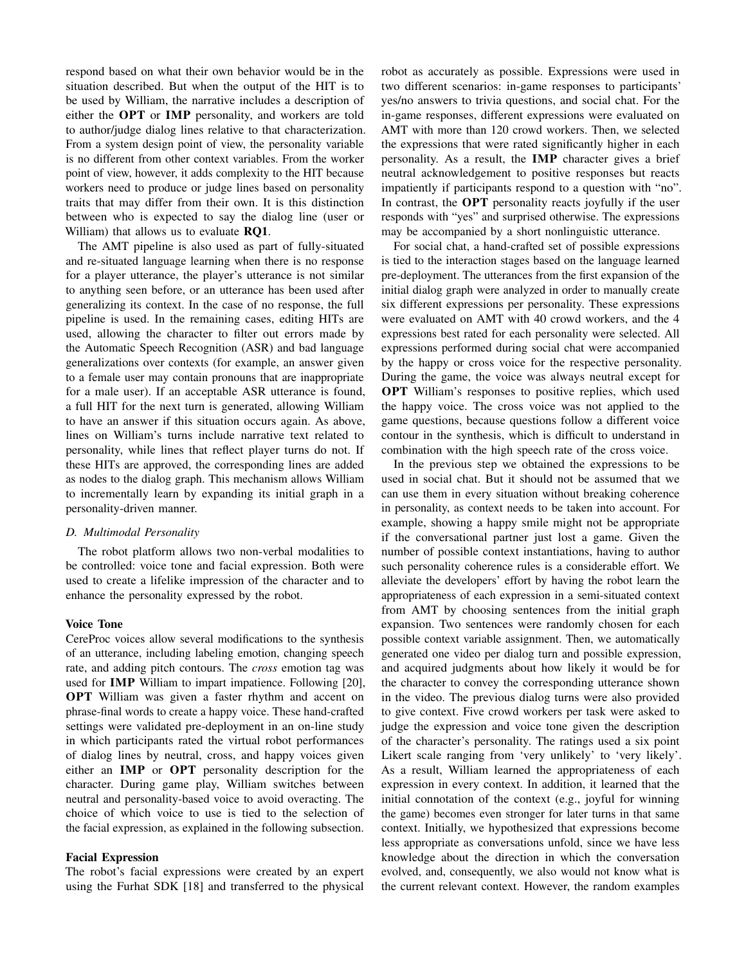respond based on what their own behavior would be in the situation described. But when the output of the HIT is to be used by William, the narrative includes a description of either the OPT or IMP personality, and workers are told to author/judge dialog lines relative to that characterization. From a system design point of view, the personality variable is no different from other context variables. From the worker point of view, however, it adds complexity to the HIT because workers need to produce or judge lines based on personality traits that may differ from their own. It is this distinction between who is expected to say the dialog line (user or William) that allows us to evaluate **RQ1**.

The AMT pipeline is also used as part of fully-situated and re-situated language learning when there is no response for a player utterance, the player's utterance is not similar to anything seen before, or an utterance has been used after generalizing its context. In the case of no response, the full pipeline is used. In the remaining cases, editing HITs are used, allowing the character to filter out errors made by the Automatic Speech Recognition (ASR) and bad language generalizations over contexts (for example, an answer given to a female user may contain pronouns that are inappropriate for a male user). If an acceptable ASR utterance is found, a full HIT for the next turn is generated, allowing William to have an answer if this situation occurs again. As above, lines on William's turns include narrative text related to personality, while lines that reflect player turns do not. If these HITs are approved, the corresponding lines are added as nodes to the dialog graph. This mechanism allows William to incrementally learn by expanding its initial graph in a personality-driven manner.

#### *D. Multimodal Personality*

The robot platform allows two non-verbal modalities to be controlled: voice tone and facial expression. Both were used to create a lifelike impression of the character and to enhance the personality expressed by the robot.

#### Voice Tone

CereProc voices allow several modifications to the synthesis of an utterance, including labeling emotion, changing speech rate, and adding pitch contours. The *cross* emotion tag was used for IMP William to impart impatience. Following [20], OPT William was given a faster rhythm and accent on phrase-final words to create a happy voice. These hand-crafted settings were validated pre-deployment in an on-line study in which participants rated the virtual robot performances of dialog lines by neutral, cross, and happy voices given either an IMP or OPT personality description for the character. During game play, William switches between neutral and personality-based voice to avoid overacting. The choice of which voice to use is tied to the selection of the facial expression, as explained in the following subsection.

# Facial Expression

The robot's facial expressions were created by an expert using the Furhat SDK [18] and transferred to the physical

robot as accurately as possible. Expressions were used in two different scenarios: in-game responses to participants' yes/no answers to trivia questions, and social chat. For the in-game responses, different expressions were evaluated on AMT with more than 120 crowd workers. Then, we selected the expressions that were rated significantly higher in each personality. As a result, the IMP character gives a brief neutral acknowledgement to positive responses but reacts impatiently if participants respond to a question with "no". In contrast, the OPT personality reacts joyfully if the user responds with "yes" and surprised otherwise. The expressions may be accompanied by a short nonlinguistic utterance.

For social chat, a hand-crafted set of possible expressions is tied to the interaction stages based on the language learned pre-deployment. The utterances from the first expansion of the initial dialog graph were analyzed in order to manually create six different expressions per personality. These expressions were evaluated on AMT with 40 crowd workers, and the 4 expressions best rated for each personality were selected. All expressions performed during social chat were accompanied by the happy or cross voice for the respective personality. During the game, the voice was always neutral except for OPT William's responses to positive replies, which used the happy voice. The cross voice was not applied to the game questions, because questions follow a different voice contour in the synthesis, which is difficult to understand in combination with the high speech rate of the cross voice.

In the previous step we obtained the expressions to be used in social chat. But it should not be assumed that we can use them in every situation without breaking coherence in personality, as context needs to be taken into account. For example, showing a happy smile might not be appropriate if the conversational partner just lost a game. Given the number of possible context instantiations, having to author such personality coherence rules is a considerable effort. We alleviate the developers' effort by having the robot learn the appropriateness of each expression in a semi-situated context from AMT by choosing sentences from the initial graph expansion. Two sentences were randomly chosen for each possible context variable assignment. Then, we automatically generated one video per dialog turn and possible expression, and acquired judgments about how likely it would be for the character to convey the corresponding utterance shown in the video. The previous dialog turns were also provided to give context. Five crowd workers per task were asked to judge the expression and voice tone given the description of the character's personality. The ratings used a six point Likert scale ranging from 'very unlikely' to 'very likely'. As a result, William learned the appropriateness of each expression in every context. In addition, it learned that the initial connotation of the context (e.g., joyful for winning the game) becomes even stronger for later turns in that same context. Initially, we hypothesized that expressions become less appropriate as conversations unfold, since we have less knowledge about the direction in which the conversation evolved, and, consequently, we also would not know what is the current relevant context. However, the random examples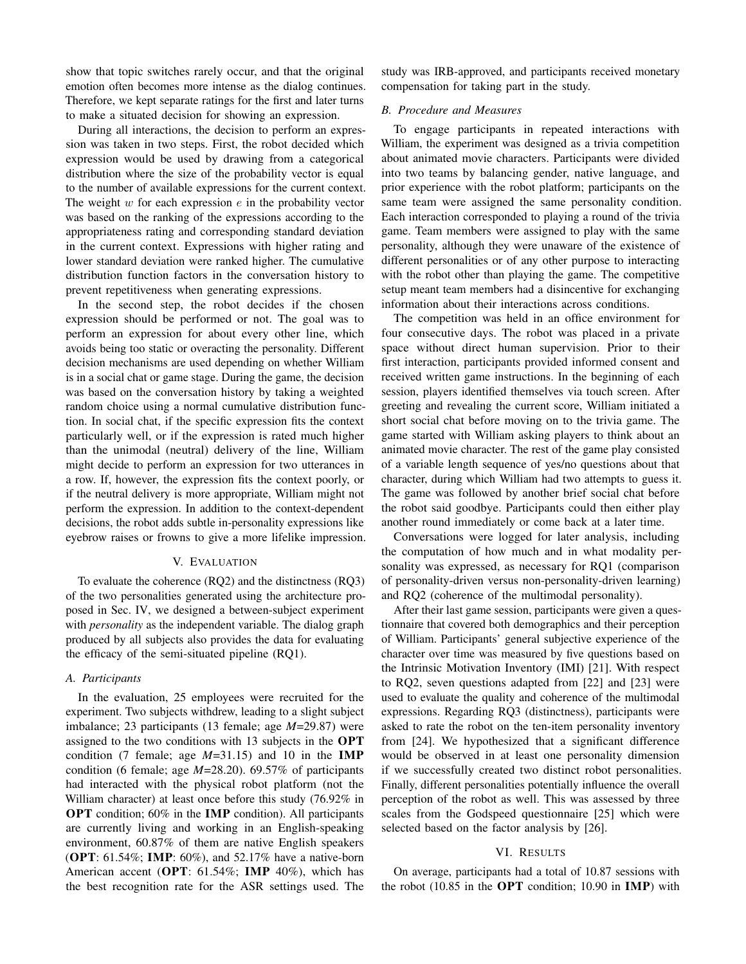show that topic switches rarely occur, and that the original emotion often becomes more intense as the dialog continues. Therefore, we kept separate ratings for the first and later turns to make a situated decision for showing an expression.

During all interactions, the decision to perform an expression was taken in two steps. First, the robot decided which expression would be used by drawing from a categorical distribution where the size of the probability vector is equal to the number of available expressions for the current context. The weight  $w$  for each expression  $e$  in the probability vector was based on the ranking of the expressions according to the appropriateness rating and corresponding standard deviation in the current context. Expressions with higher rating and lower standard deviation were ranked higher. The cumulative distribution function factors in the conversation history to prevent repetitiveness when generating expressions.

In the second step, the robot decides if the chosen expression should be performed or not. The goal was to perform an expression for about every other line, which avoids being too static or overacting the personality. Different decision mechanisms are used depending on whether William is in a social chat or game stage. During the game, the decision was based on the conversation history by taking a weighted random choice using a normal cumulative distribution function. In social chat, if the specific expression fits the context particularly well, or if the expression is rated much higher than the unimodal (neutral) delivery of the line, William might decide to perform an expression for two utterances in a row. If, however, the expression fits the context poorly, or if the neutral delivery is more appropriate, William might not perform the expression. In addition to the context-dependent decisions, the robot adds subtle in-personality expressions like eyebrow raises or frowns to give a more lifelike impression.

## V. EVALUATION

To evaluate the coherence (RQ2) and the distinctness (RQ3) of the two personalities generated using the architecture proposed in Sec. IV, we designed a between-subject experiment with *personality* as the independent variable. The dialog graph produced by all subjects also provides the data for evaluating the efficacy of the semi-situated pipeline (RQ1).

#### *A. Participants*

In the evaluation, 25 employees were recruited for the experiment. Two subjects withdrew, leading to a slight subject imbalance; 23 participants (13 female; age *M*=29.87) were assigned to the two conditions with 13 subjects in the OPT condition (7 female; age *M*=31.15) and 10 in the IMP condition (6 female; age *M*=28.20). 69.57% of participants had interacted with the physical robot platform (not the William character) at least once before this study (76.92% in OPT condition; 60% in the IMP condition). All participants are currently living and working in an English-speaking environment, 60.87% of them are native English speakers (OPT: 61.54%; IMP: 60%), and 52.17% have a native-born American accent (OPT: 61.54%; IMP 40%), which has the best recognition rate for the ASR settings used. The

study was IRB-approved, and participants received monetary compensation for taking part in the study.

### *B. Procedure and Measures*

To engage participants in repeated interactions with William, the experiment was designed as a trivia competition about animated movie characters. Participants were divided into two teams by balancing gender, native language, and prior experience with the robot platform; participants on the same team were assigned the same personality condition. Each interaction corresponded to playing a round of the trivia game. Team members were assigned to play with the same personality, although they were unaware of the existence of different personalities or of any other purpose to interacting with the robot other than playing the game. The competitive setup meant team members had a disincentive for exchanging information about their interactions across conditions.

The competition was held in an office environment for four consecutive days. The robot was placed in a private space without direct human supervision. Prior to their first interaction, participants provided informed consent and received written game instructions. In the beginning of each session, players identified themselves via touch screen. After greeting and revealing the current score, William initiated a short social chat before moving on to the trivia game. The game started with William asking players to think about an animated movie character. The rest of the game play consisted of a variable length sequence of yes/no questions about that character, during which William had two attempts to guess it. The game was followed by another brief social chat before the robot said goodbye. Participants could then either play another round immediately or come back at a later time.

Conversations were logged for later analysis, including the computation of how much and in what modality personality was expressed, as necessary for RQ1 (comparison of personality-driven versus non-personality-driven learning) and RQ2 (coherence of the multimodal personality).

After their last game session, participants were given a questionnaire that covered both demographics and their perception of William. Participants' general subjective experience of the character over time was measured by five questions based on the Intrinsic Motivation Inventory (IMI) [21]. With respect to RQ2, seven questions adapted from [22] and [23] were used to evaluate the quality and coherence of the multimodal expressions. Regarding RQ3 (distinctness), participants were asked to rate the robot on the ten-item personality inventory from [24]. We hypothesized that a significant difference would be observed in at least one personality dimension if we successfully created two distinct robot personalities. Finally, different personalities potentially influence the overall perception of the robot as well. This was assessed by three scales from the Godspeed questionnaire [25] which were selected based on the factor analysis by [26].

#### VI. RESULTS

On average, participants had a total of 10.87 sessions with the robot (10.85 in the OPT condition; 10.90 in IMP) with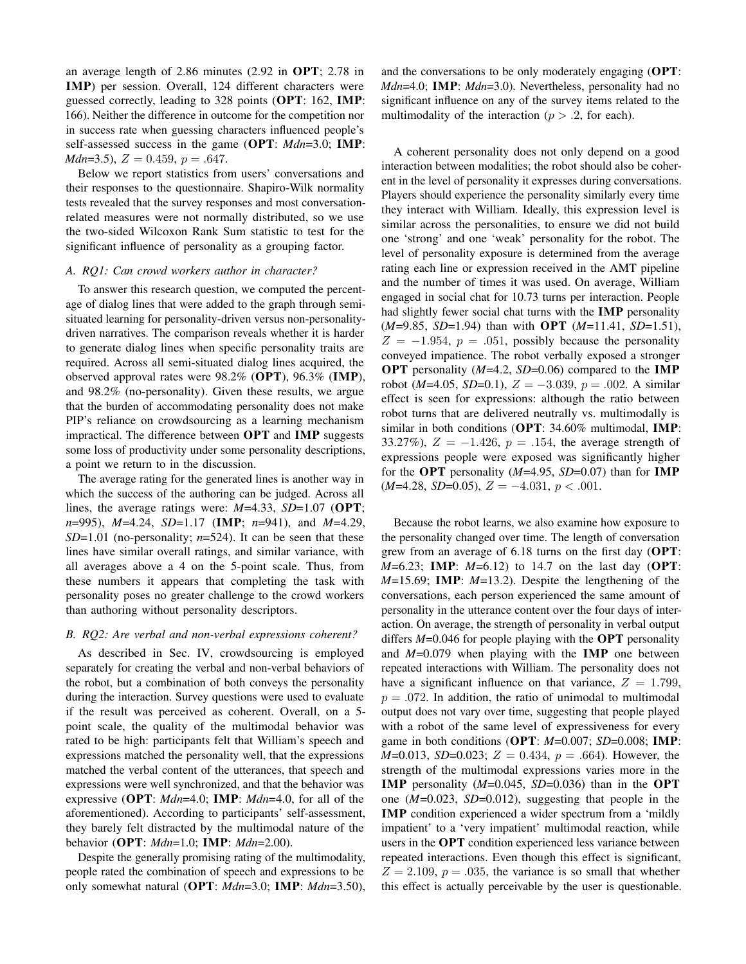an average length of 2.86 minutes (2.92 in OPT; 2.78 in IMP) per session. Overall, 124 different characters were guessed correctly, leading to 328 points (OPT: 162, IMP: 166). Neither the difference in outcome for the competition nor in success rate when guessing characters influenced people's self-assessed success in the game (OPT: *Mdn*=3.0; IMP: *Mdn*=3.5),  $Z = 0.459$ ,  $p = .647$ .

Below we report statistics from users' conversations and their responses to the questionnaire. Shapiro-Wilk normality tests revealed that the survey responses and most conversationrelated measures were not normally distributed, so we use the two-sided Wilcoxon Rank Sum statistic to test for the significant influence of personality as a grouping factor.

#### *A. RQ1: Can crowd workers author in character?*

To answer this research question, we computed the percentage of dialog lines that were added to the graph through semisituated learning for personality-driven versus non-personalitydriven narratives. The comparison reveals whether it is harder to generate dialog lines when specific personality traits are required. Across all semi-situated dialog lines acquired, the observed approval rates were 98.2% (OPT), 96.3% (IMP), and 98.2% (no-personality). Given these results, we argue that the burden of accommodating personality does not make PIP's reliance on crowdsourcing as a learning mechanism impractical. The difference between OPT and IMP suggests some loss of productivity under some personality descriptions, a point we return to in the discussion.

The average rating for the generated lines is another way in which the success of the authoring can be judged. Across all lines, the average ratings were: *M*=4.33, *SD*=1.07 (OPT; *n*=995), *M*=4.24, *SD*=1.17 (IMP; *n*=941), and *M*=4.29, *SD*=1.01 (no-personality; *n*=524). It can be seen that these lines have similar overall ratings, and similar variance, with all averages above a 4 on the 5-point scale. Thus, from these numbers it appears that completing the task with personality poses no greater challenge to the crowd workers than authoring without personality descriptors.

### *B. RQ2: Are verbal and non-verbal expressions coherent?*

As described in Sec. IV, crowdsourcing is employed separately for creating the verbal and non-verbal behaviors of the robot, but a combination of both conveys the personality during the interaction. Survey questions were used to evaluate if the result was perceived as coherent. Overall, on a 5 point scale, the quality of the multimodal behavior was rated to be high: participants felt that William's speech and expressions matched the personality well, that the expressions matched the verbal content of the utterances, that speech and expressions were well synchronized, and that the behavior was expressive (OPT: *Mdn*=4.0; IMP: *Mdn*=4.0, for all of the aforementioned). According to participants' self-assessment, they barely felt distracted by the multimodal nature of the behavior (OPT: *Mdn*=1.0; IMP: *Mdn*=2.00).

Despite the generally promising rating of the multimodality, people rated the combination of speech and expressions to be only somewhat natural (OPT: *Mdn*=3.0; IMP: *Mdn*=3.50), and the conversations to be only moderately engaging (OPT: *Mdn*=4.0; IMP: *Mdn*=3.0). Nevertheless, personality had no significant influence on any of the survey items related to the multimodality of the interaction ( $p > .2$ , for each).

A coherent personality does not only depend on a good interaction between modalities; the robot should also be coherent in the level of personality it expresses during conversations. Players should experience the personality similarly every time they interact with William. Ideally, this expression level is similar across the personalities, to ensure we did not build one 'strong' and one 'weak' personality for the robot. The level of personality exposure is determined from the average rating each line or expression received in the AMT pipeline and the number of times it was used. On average, William engaged in social chat for 10.73 turns per interaction. People had slightly fewer social chat turns with the **IMP** personality (*M*=9.85, *SD*=1.94) than with OPT (*M*=11.41, *SD*=1.51),  $Z = -1.954$ ,  $p = .051$ , possibly because the personality conveyed impatience. The robot verbally exposed a stronger OPT personality (*M*=4.2, *SD*=0.06) compared to the IMP robot ( $M=4.05$ ,  $SD=0.1$ ),  $Z=-3.039$ ,  $p=.002$ . A similar effect is seen for expressions: although the ratio between robot turns that are delivered neutrally vs. multimodally is similar in both conditions (OPT: 34.60% multimodal, IMP: 33.27%),  $Z = -1.426$ ,  $p = .154$ , the average strength of expressions people were exposed was significantly higher for the OPT personality (*M*=4.95, *SD*=0.07) than for IMP  $(M=4.28, SD=0.05), Z = -4.031, p < .001.$ 

Because the robot learns, we also examine how exposure to the personality changed over time. The length of conversation grew from an average of 6.18 turns on the first day (OPT: *M*=6.23; IMP: *M*=6.12) to 14.7 on the last day (OPT: *M*=15.69; IMP: *M*=13.2). Despite the lengthening of the conversations, each person experienced the same amount of personality in the utterance content over the four days of interaction. On average, the strength of personality in verbal output differs *M*=0.046 for people playing with the **OPT** personality and *M*=0.079 when playing with the IMP one between repeated interactions with William. The personality does not have a significant influence on that variance,  $Z = 1.799$ ,  $p = .072$ . In addition, the ratio of unimodal to multimodal output does not vary over time, suggesting that people played with a robot of the same level of expressiveness for every game in both conditions (OPT: *M*=0.007; *SD*=0.008; IMP: *M*=0.013, *SD*=0.023;  $Z = 0.434$ ,  $p = .664$ ). However, the strength of the multimodal expressions varies more in the IMP personality (*M*=0.045, *SD*=0.036) than in the OPT one (*M*=0.023, *SD*=0.012), suggesting that people in the IMP condition experienced a wider spectrum from a 'mildly impatient' to a 'very impatient' multimodal reaction, while users in the OPT condition experienced less variance between repeated interactions. Even though this effect is significant,  $Z = 2.109$ ,  $p = .035$ , the variance is so small that whether this effect is actually perceivable by the user is questionable.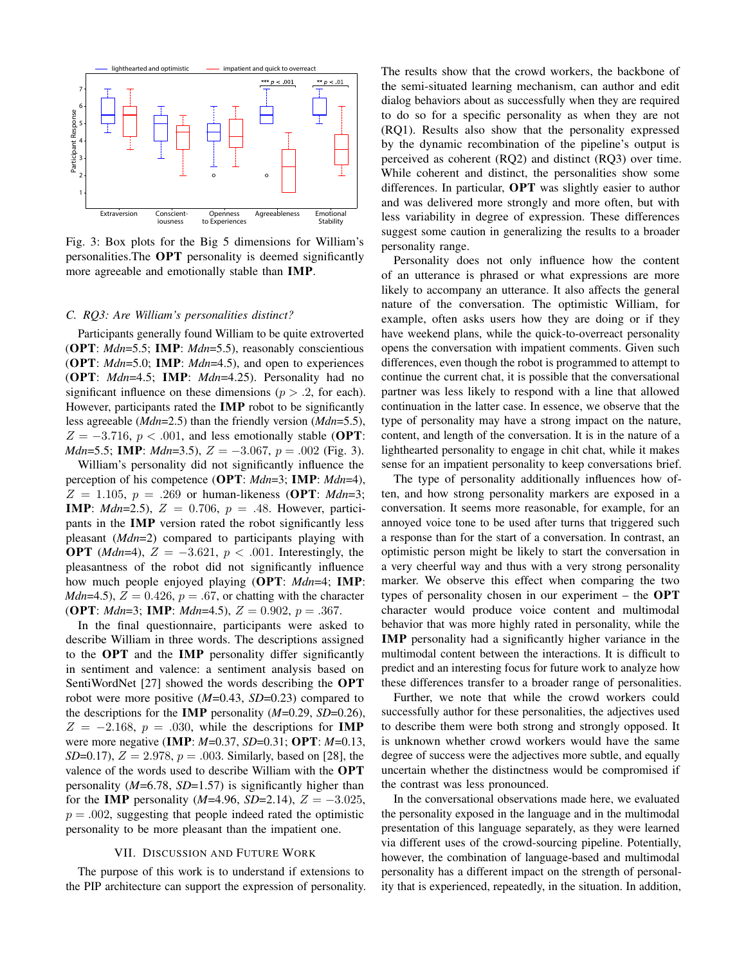

Fig. 3: Box plots for the Big 5 dimensions for William's personalities.The OPT personality is deemed significantly more agreeable and emotionally stable than IMP.

#### *C. RQ3: Are William's personalities distinct?*

Participants generally found William to be quite extroverted (OPT: *Mdn*=5.5; IMP: *Mdn*=5.5), reasonably conscientious (OPT: *Mdn*=5.0; IMP: *Mdn*=4.5), and open to experiences (OPT: *Mdn*=4.5; IMP: *Mdn*=4.25). Personality had no significant influence on these dimensions ( $p > 0.2$ , for each). However, participants rated the IMP robot to be significantly less agreeable (*Mdn*=2.5) than the friendly version (*Mdn*=5.5),  $Z = -3.716$ ,  $p < .001$ , and less emotionally stable (OPT: *Mdn*=5.5; **IMP**: *Mdn*=3.5),  $Z = -3.067$ ,  $p = .002$  (Fig. 3).

William's personality did not significantly influence the perception of his competence (OPT: *Mdn*=3; IMP: *Mdn*=4),  $Z = 1.105$ ,  $p = .269$  or human-likeness (**OPT**: *Mdn*=3; **IMP**: *Mdn*=2.5),  $Z = 0.706$ ,  $p = .48$ . However, participants in the IMP version rated the robot significantly less pleasant (*Mdn*=2) compared to participants playing with **OPT** (*Mdn*=4),  $Z = -3.621$ ,  $p < .001$ . Interestingly, the pleasantness of the robot did not significantly influence how much people enjoyed playing (OPT: *Mdn*=4; IMP: *Mdn*=4.5),  $Z = 0.426$ ,  $p = .67$ , or chatting with the character (OPT: *Mdn*=3; IMP: *Mdn*=4.5),  $Z = 0.902$ ,  $p = .367$ .

In the final questionnaire, participants were asked to describe William in three words. The descriptions assigned to the OPT and the IMP personality differ significantly in sentiment and valence: a sentiment analysis based on SentiWordNet [27] showed the words describing the OPT robot were more positive (*M*=0.43, *SD*=0.23) compared to the descriptions for the IMP personality (*M*=0.29, *SD*=0.26),  $Z = -2.168$ ,  $p = .030$ , while the descriptions for IMP were more negative (IMP: *M*=0.37, *SD*=0.31; OPT: *M*=0.13, *SD*=0.17),  $Z = 2.978$ ,  $p = .003$ . Similarly, based on [28], the valence of the words used to describe William with the OPT personality (*M*=6.78, *SD*=1.57) is significantly higher than for the **IMP** personality ( $M=4.96$ , *SD*=2.14),  $Z = -3.025$ ,  $p = .002$ , suggesting that people indeed rated the optimistic personality to be more pleasant than the impatient one.

#### VII. DISCUSSION AND FUTURE WORK

The purpose of this work is to understand if extensions to the PIP architecture can support the expression of personality. The results show that the crowd workers, the backbone of the semi-situated learning mechanism, can author and edit dialog behaviors about as successfully when they are required to do so for a specific personality as when they are not (RQ1). Results also show that the personality expressed by the dynamic recombination of the pipeline's output is perceived as coherent (RQ2) and distinct (RQ3) over time. While coherent and distinct, the personalities show some differences. In particular, OPT was slightly easier to author and was delivered more strongly and more often, but with less variability in degree of expression. These differences suggest some caution in generalizing the results to a broader personality range.

Personality does not only influence how the content of an utterance is phrased or what expressions are more likely to accompany an utterance. It also affects the general nature of the conversation. The optimistic William, for example, often asks users how they are doing or if they have weekend plans, while the quick-to-overreact personality opens the conversation with impatient comments. Given such differences, even though the robot is programmed to attempt to continue the current chat, it is possible that the conversational partner was less likely to respond with a line that allowed continuation in the latter case. In essence, we observe that the type of personality may have a strong impact on the nature, content, and length of the conversation. It is in the nature of a lighthearted personality to engage in chit chat, while it makes sense for an impatient personality to keep conversations brief.

The type of personality additionally influences how often, and how strong personality markers are exposed in a conversation. It seems more reasonable, for example, for an annoyed voice tone to be used after turns that triggered such a response than for the start of a conversation. In contrast, an optimistic person might be likely to start the conversation in a very cheerful way and thus with a very strong personality marker. We observe this effect when comparing the two types of personality chosen in our experiment – the OPT character would produce voice content and multimodal behavior that was more highly rated in personality, while the IMP personality had a significantly higher variance in the multimodal content between the interactions. It is difficult to predict and an interesting focus for future work to analyze how these differences transfer to a broader range of personalities.

Further, we note that while the crowd workers could successfully author for these personalities, the adjectives used to describe them were both strong and strongly opposed. It is unknown whether crowd workers would have the same degree of success were the adjectives more subtle, and equally uncertain whether the distinctness would be compromised if the contrast was less pronounced.

In the conversational observations made here, we evaluated the personality exposed in the language and in the multimodal presentation of this language separately, as they were learned via different uses of the crowd-sourcing pipeline. Potentially, however, the combination of language-based and multimodal personality has a different impact on the strength of personality that is experienced, repeatedly, in the situation. In addition,